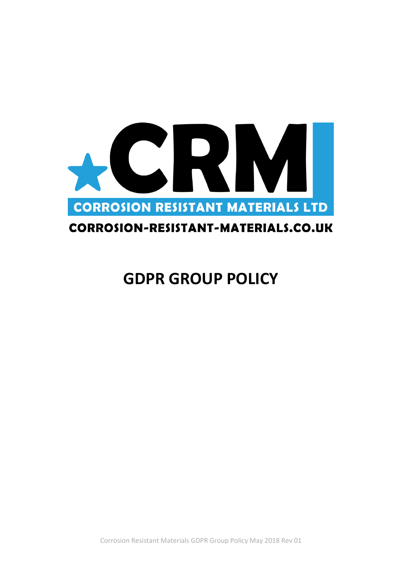

# CORROSION-RESISTANT-MATERIALS.CO.UK

# **GDPR GROUP POLICY**

Corrosion Resistant Materials GDPR Group Policy May 2018 Rev 01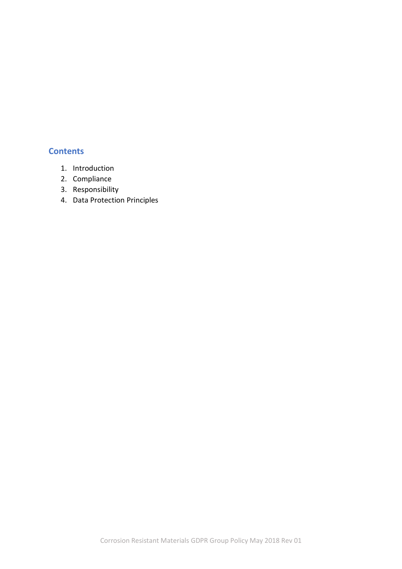#### **Contents**

- 1. Introduction
- 2. Compliance
- 3. Responsibility
- 4. Data Protection Principles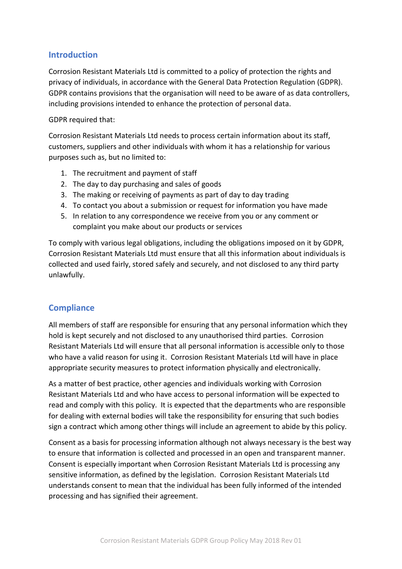## **Introduction**

Corrosion Resistant Materials Ltd is committed to a policy of protection the rights and privacy of individuals, in accordance with the General Data Protection Regulation (GDPR). GDPR contains provisions that the organisation will need to be aware of as data controllers, including provisions intended to enhance the protection of personal data.

#### GDPR required that:

Corrosion Resistant Materials Ltd needs to process certain information about its staff, customers, suppliers and other individuals with whom it has a relationship for various purposes such as, but no limited to:

- 1. The recruitment and payment of staff
- 2. The day to day purchasing and sales of goods
- 3. The making or receiving of payments as part of day to day trading
- 4. To contact you about a submission or request for information you have made
- 5. In relation to any correspondence we receive from you or any comment or complaint you make about our products or services

To comply with various legal obligations, including the obligations imposed on it by GDPR, Corrosion Resistant Materials Ltd must ensure that all this information about individuals is collected and used fairly, stored safely and securely, and not disclosed to any third party unlawfully.

# **Compliance**

All members of staff are responsible for ensuring that any personal information which they hold is kept securely and not disclosed to any unauthorised third parties. Corrosion Resistant Materials Ltd will ensure that all personal information is accessible only to those who have a valid reason for using it. Corrosion Resistant Materials Ltd will have in place appropriate security measures to protect information physically and electronically.

As a matter of best practice, other agencies and individuals working with Corrosion Resistant Materials Ltd and who have access to personal information will be expected to read and comply with this policy. It is expected that the departments who are responsible for dealing with external bodies will take the responsibility for ensuring that such bodies sign a contract which among other things will include an agreement to abide by this policy.

Consent as a basis for processing information although not always necessary is the best way to ensure that information is collected and processed in an open and transparent manner. Consent is especially important when Corrosion Resistant Materials Ltd is processing any sensitive information, as defined by the legislation. Corrosion Resistant Materials Ltd understands consent to mean that the individual has been fully informed of the intended processing and has signified their agreement.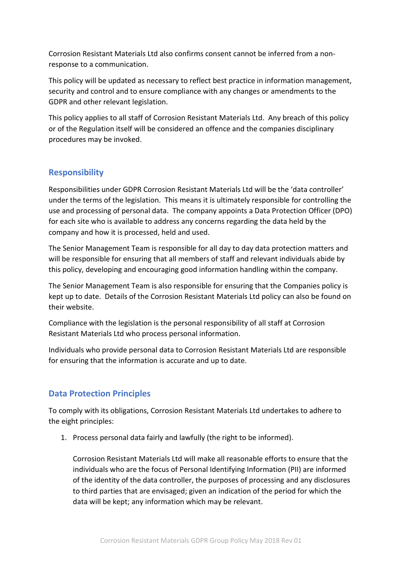Corrosion Resistant Materials Ltd also confirms consent cannot be inferred from a nonresponse to a communication.

This policy will be updated as necessary to reflect best practice in information management, security and control and to ensure compliance with any changes or amendments to the GDPR and other relevant legislation.

This policy applies to all staff of Corrosion Resistant Materials Ltd. Any breach of this policy or of the Regulation itself will be considered an offence and the companies disciplinary procedures may be invoked.

## **Responsibility**

Responsibilities under GDPR Corrosion Resistant Materials Ltd will be the 'data controller' under the terms of the legislation. This means it is ultimately responsible for controlling the use and processing of personal data. The company appoints a Data Protection Officer (DPO) for each site who is available to address any concerns regarding the data held by the company and how it is processed, held and used.

The Senior Management Team is responsible for all day to day data protection matters and will be responsible for ensuring that all members of staff and relevant individuals abide by this policy, developing and encouraging good information handling within the company.

The Senior Management Team is also responsible for ensuring that the Companies policy is kept up to date. Details of the Corrosion Resistant Materials Ltd policy can also be found on their website.

Compliance with the legislation is the personal responsibility of all staff at Corrosion Resistant Materials Ltd who process personal information.

Individuals who provide personal data to Corrosion Resistant Materials Ltd are responsible for ensuring that the information is accurate and up to date.

# **Data Protection Principles**

To comply with its obligations, Corrosion Resistant Materials Ltd undertakes to adhere to the eight principles:

1. Process personal data fairly and lawfully (the right to be informed).

Corrosion Resistant Materials Ltd will make all reasonable efforts to ensure that the individuals who are the focus of Personal Identifying Information (PII) are informed of the identity of the data controller, the purposes of processing and any disclosures to third parties that are envisaged; given an indication of the period for which the data will be kept; any information which may be relevant.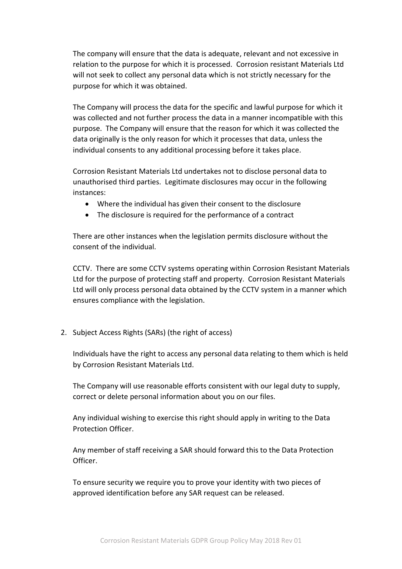The company will ensure that the data is adequate, relevant and not excessive in relation to the purpose for which it is processed. Corrosion resistant Materials Ltd will not seek to collect any personal data which is not strictly necessary for the purpose for which it was obtained.

The Company will process the data for the specific and lawful purpose for which it was collected and not further process the data in a manner incompatible with this purpose. The Company will ensure that the reason for which it was collected the data originally is the only reason for which it processes that data, unless the individual consents to any additional processing before it takes place.

Corrosion Resistant Materials Ltd undertakes not to disclose personal data to unauthorised third parties. Legitimate disclosures may occur in the following instances:

- Where the individual has given their consent to the disclosure
- The disclosure is required for the performance of a contract

There are other instances when the legislation permits disclosure without the consent of the individual.

CCTV. There are some CCTV systems operating within Corrosion Resistant Materials Ltd for the purpose of protecting staff and property. Corrosion Resistant Materials Ltd will only process personal data obtained by the CCTV system in a manner which ensures compliance with the legislation.

2. Subject Access Rights (SARs) (the right of access)

Individuals have the right to access any personal data relating to them which is held by Corrosion Resistant Materials Ltd.

The Company will use reasonable efforts consistent with our legal duty to supply, correct or delete personal information about you on our files.

Any individual wishing to exercise this right should apply in writing to the Data Protection Officer.

Any member of staff receiving a SAR should forward this to the Data Protection Officer.

To ensure security we require you to prove your identity with two pieces of approved identification before any SAR request can be released.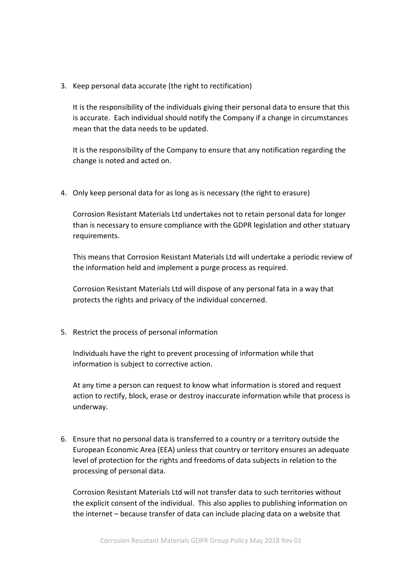3. Keep personal data accurate (the right to rectification)

It is the responsibility of the individuals giving their personal data to ensure that this is accurate. Each individual should notify the Company if a change in circumstances mean that the data needs to be updated.

It is the responsibility of the Company to ensure that any notification regarding the change is noted and acted on.

4. Only keep personal data for as long as is necessary (the right to erasure)

Corrosion Resistant Materials Ltd undertakes not to retain personal data for longer than is necessary to ensure compliance with the GDPR legislation and other statuary requirements.

This means that Corrosion Resistant Materials Ltd will undertake a periodic review of the information held and implement a purge process as required.

Corrosion Resistant Materials Ltd will dispose of any personal fata in a way that protects the rights and privacy of the individual concerned.

5. Restrict the process of personal information

Individuals have the right to prevent processing of information while that information is subject to corrective action.

At any time a person can request to know what information is stored and request action to rectify, block, erase or destroy inaccurate information while that process is underway.

6. Ensure that no personal data is transferred to a country or a territory outside the European Economic Area (EEA) unless that country or territory ensures an adequate level of protection for the rights and freedoms of data subjects in relation to the processing of personal data.

Corrosion Resistant Materials Ltd will not transfer data to such territories without the explicit consent of the individual. This also applies to publishing information on the internet – because transfer of data can include placing data on a website that